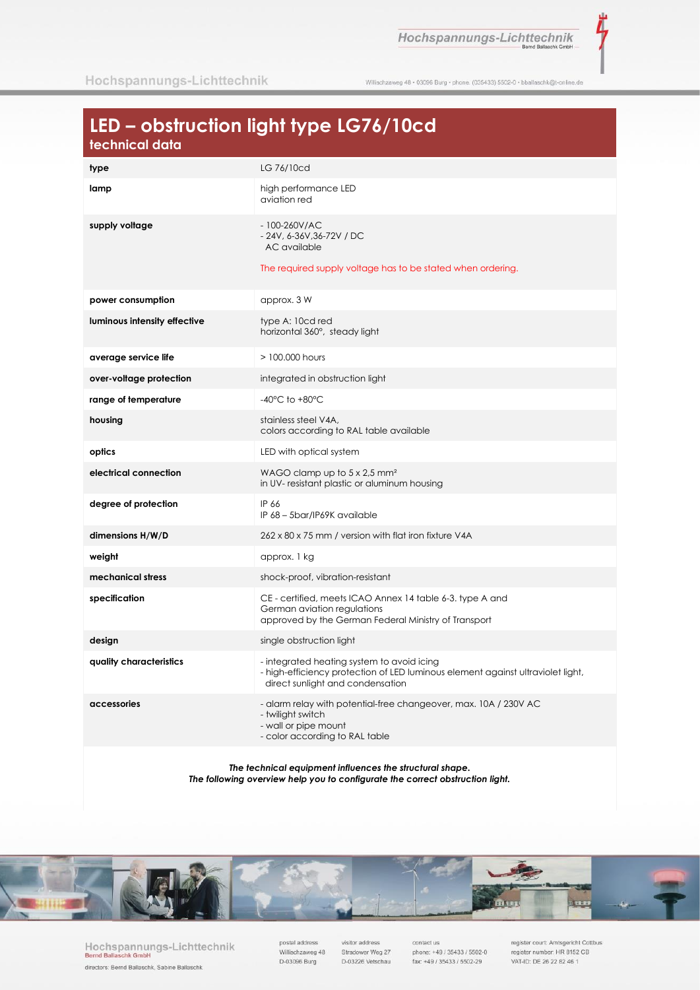Hochspannungs-Lichttechnik

ť

Willischzaweg 48 · 03096 Burg · phone. (035433) 5502-0 · bballaschk@t-online.de

# LED - obstruction light type LG76/10cd

| type                         | LG 76/10cd                                                                                                                                                        |
|------------------------------|-------------------------------------------------------------------------------------------------------------------------------------------------------------------|
| lamp                         | high performance LED<br>aviation red                                                                                                                              |
| supply voltage               | $-100 - 260$ V/AC<br>$-24V$ , 6-36V, 36-72V / DC<br>AC available<br>The required supply voltage has to be stated when ordering.                                   |
| power consumption            | approx. 3 W                                                                                                                                                       |
| luminous intensity effective | type A: 10cd red<br>horizontal 360°, steady light                                                                                                                 |
| average service life         | > 100,000 hours                                                                                                                                                   |
| over-voltage protection      | integrated in obstruction light                                                                                                                                   |
| range of temperature         | $-40^{\circ}$ C to $+80^{\circ}$ C                                                                                                                                |
| housing                      | stainless steel V4A,<br>colors according to RAL table available                                                                                                   |
| optics                       | LED with optical system                                                                                                                                           |
| electrical connection        | WAGO clamp up to $5 \times 2.5$ mm <sup>2</sup><br>in UV- resistant plastic or aluminum housing                                                                   |
| degree of protection         | IP 66<br>IP 68 - 5bar/IP69K available                                                                                                                             |
| dimensions H/W/D             | 262 x 80 x 75 mm / version with flat iron fixture V4A                                                                                                             |
| weight                       | approx. 1 kg                                                                                                                                                      |
| mechanical stress            | shock-proof, vibration-resistant                                                                                                                                  |
| specification                | CE - certified, meets ICAO Annex 14 table 6-3. type A and<br>German aviation regulations<br>approved by the German Federal Ministry of Transport                  |
| design                       | single obstruction light                                                                                                                                          |
| quality characteristics      | - integrated heating system to avoid icing<br>- high-efficiency protection of LED luminous element against ultraviolet light,<br>direct sunlight and condensation |
| accessories                  | - alarm relay with potential-free changeover, max. 10A / 230V AC<br>- twilight switch<br>- wall or pipe mount<br>- color according to RAL table                   |

The technical equipment influences the structural shape. The following overview help you to configurate the correct obstruction light.



Hochspannungs-Lichttechnik<br>Bernd Ballaschk GmbH directors: Bernd Ballaschk, Sabine Ballaschk

postal address Willischzaweg 48 D-03096 Burg

visitor address Stradower Weg 27 D-03226 Vetschau

contact us phone: +49 / 35433 / 5502-0 fax: +49 / 35433 / 5502-29

register court: Amtsgericht Cottbus<br>register number: HR 8152 CB VAT-ID: DE 26 22 82 46 1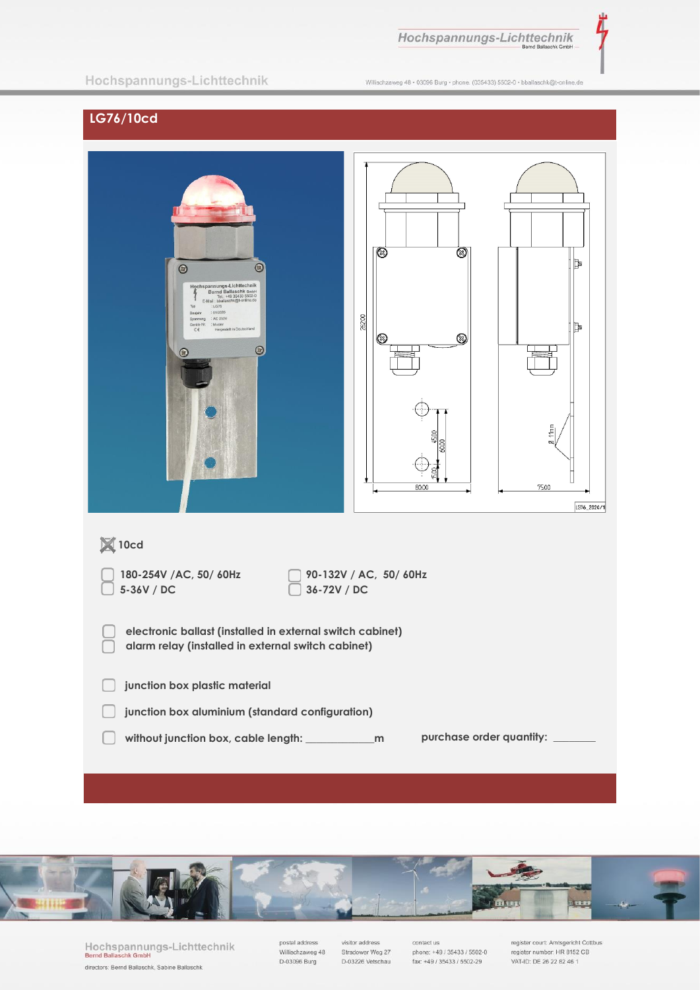

Ì,

### Hochspannungs-Lichttechnik

Willischzaweg 48 · 03096 Burg · phone. (035433) 5502-0 · bballaschk@t-online.de

# LG76/10cd

| $\odot$<br>$\odot$<br>Hochspannungs-Lichttechnik<br>Bernd Ballaschk GmbH<br>Tel.: +49 35433 5502-0<br>E-Mail : bballaschk@t-online.de<br>Typ<br>$:$ LG76<br>:01/2020<br>Baujahr<br>Spannung : AC 230V<br>: Muster<br>Geräte Nr.<br>Hergestellt in Deutschland<br>$\zeta\in$<br>$\circledcirc$<br>Θ. | <b>③</b><br>⊗<br>26200<br>$^{\circledR}$<br>Ø<br>80.00 | Þ<br>Þ<br>11mm<br>ø<br>75.00<br>LG76_2020/1 |  |
|-----------------------------------------------------------------------------------------------------------------------------------------------------------------------------------------------------------------------------------------------------------------------------------------------------|--------------------------------------------------------|---------------------------------------------|--|
| $\boxtimes$ 10cd                                                                                                                                                                                                                                                                                    |                                                        |                                             |  |
| 90-132V / AC, 50/60Hz<br>180-254V /AC, 50/ 60Hz<br>5-36V / DC<br>36-72V / DC                                                                                                                                                                                                                        |                                                        |                                             |  |
| electronic ballast (installed in external switch cabinet)<br>alarm relay (installed in external switch cabinet)                                                                                                                                                                                     |                                                        |                                             |  |
| junction box plastic material                                                                                                                                                                                                                                                                       |                                                        |                                             |  |
| junction box aluminium (standard configuration)                                                                                                                                                                                                                                                     |                                                        |                                             |  |
| purchase order quantity: ______                                                                                                                                                                                                                                                                     |                                                        |                                             |  |



Hochspannungs-Lichttechnik<br>Bernd Ballaschk GmbH directors: Bernd Ballaschk, Sabine Ballaschk

postal address<br>Willischzaweg 48 D-03096 Burg

visitor address Stradower Weg 27 D-03226 Vetschau

contact us<br>phone: +49 / 35433 / 5502-0 fax: +49 / 35433 / 5502-29

register court: Amtsgericht Cottbus<br>register number: HR 8152 CB VAT-ID: DE 26 22 82 46 1